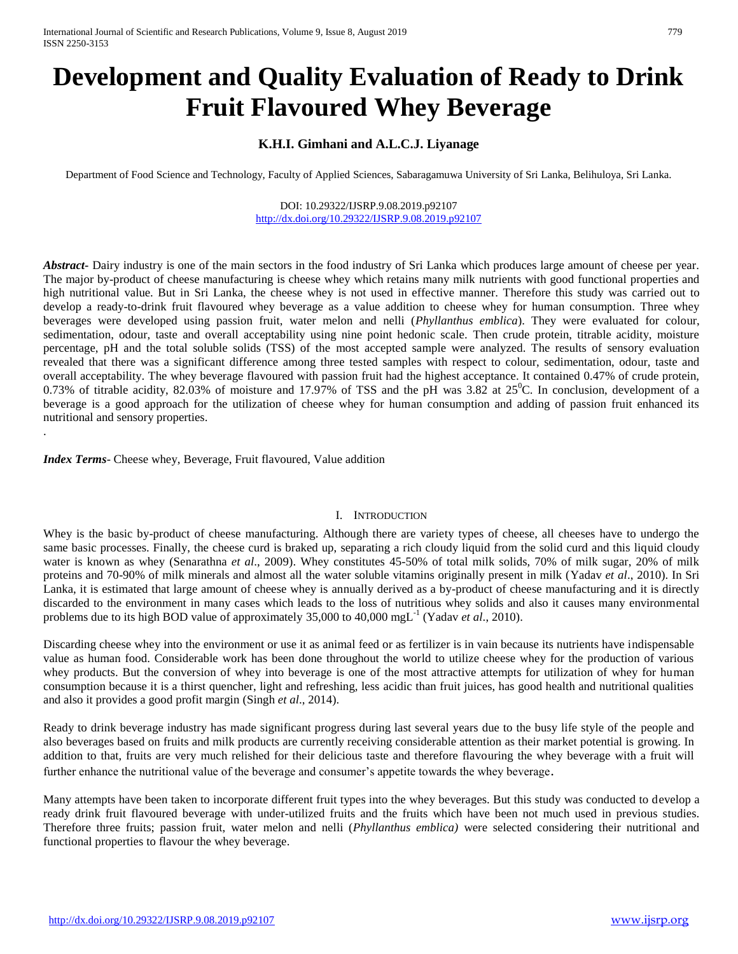# **Development and Quality Evaluation of Ready to Drink Fruit Flavoured Whey Beverage**

## **K.H.I. Gimhani and A.L.C.J. Liyanage**

Department of Food Science and Technology, Faculty of Applied Sciences, Sabaragamuwa University of Sri Lanka, Belihuloya, Sri Lanka.

## DOI: 10.29322/IJSRP.9.08.2019.p92107 <http://dx.doi.org/10.29322/IJSRP.9.08.2019.p92107>

*Abstract***-** Dairy industry is one of the main sectors in the food industry of Sri Lanka which produces large amount of cheese per year. The major by-product of cheese manufacturing is cheese whey which retains many milk nutrients with good functional properties and high nutritional value. But in Sri Lanka, the cheese whey is not used in effective manner. Therefore this study was carried out to develop a ready-to-drink fruit flavoured whey beverage as a value addition to cheese whey for human consumption. Three whey beverages were developed using passion fruit, water melon and nelli (*Phyllanthus emblica*). They were evaluated for colour, sedimentation, odour, taste and overall acceptability using nine point hedonic scale. Then crude protein, titrable acidity, moisture percentage, pH and the total soluble solids (TSS) of the most accepted sample were analyzed. The results of sensory evaluation revealed that there was a significant difference among three tested samples with respect to colour, sedimentation, odour, taste and overall acceptability. The whey beverage flavoured with passion fruit had the highest acceptance. It contained 0.47% of crude protein, 0.73% of titrable acidity, 82.03% of moisture and 17.97% of TSS and the pH was 3.82 at  $25^{\circ}$ C. In conclusion, development of a beverage is a good approach for the utilization of cheese whey for human consumption and adding of passion fruit enhanced its nutritional and sensory properties.

*Index Terms*- Cheese whey, Beverage, Fruit flavoured, Value addition

.

## I. INTRODUCTION

Whey is the basic by-product of cheese manufacturing. Although there are variety types of cheese, all cheeses have to undergo the same basic processes. Finally, the cheese curd is braked up, separating a rich cloudy liquid from the solid curd and this liquid cloudy water is known as whey (Senarathna *et al*., 2009). Whey constitutes 45-50% of total milk solids, 70% of milk sugar, 20% of milk proteins and 70-90% of milk minerals and almost all the water soluble vitamins originally present in milk (Yadav *et al*., 2010). In Sri Lanka, it is estimated that large amount of cheese whey is annually derived as a by-product of cheese manufacturing and it is directly discarded to the environment in many cases which leads to the loss of nutritious whey solids and also it causes many environmental problems due to its high BOD value of approximately 35,000 to 40,000 mgL-1 (Yadav *et al*., 2010).

Discarding cheese whey into the environment or use it as animal feed or as fertilizer is in vain because its nutrients have indispensable value as human food. Considerable work has been done throughout the world to utilize cheese whey for the production of various whey products. But the conversion of whey into beverage is one of the most attractive attempts for utilization of whey for human consumption because it is a thirst quencher, light and refreshing, less acidic than fruit juices, has good health and nutritional qualities and also it provides a good profit margin (Singh *et al*., 2014).

Ready to drink beverage industry has made significant progress during last several years due to the busy life style of the people and also beverages based on fruits and milk products are currently receiving considerable attention as their market potential is growing. In addition to that, fruits are very much relished for their delicious taste and therefore flavouring the whey beverage with a fruit will further enhance the nutritional value of the beverage and consumer's appetite towards the whey beverage.

Many attempts have been taken to incorporate different fruit types into the whey beverages. But this study was conducted to develop a ready drink fruit flavoured beverage with under-utilized fruits and the fruits which have been not much used in previous studies. Therefore three fruits; passion fruit, water melon and nelli (*Phyllanthus emblica)* were selected considering their nutritional and functional properties to flavour the whey beverage.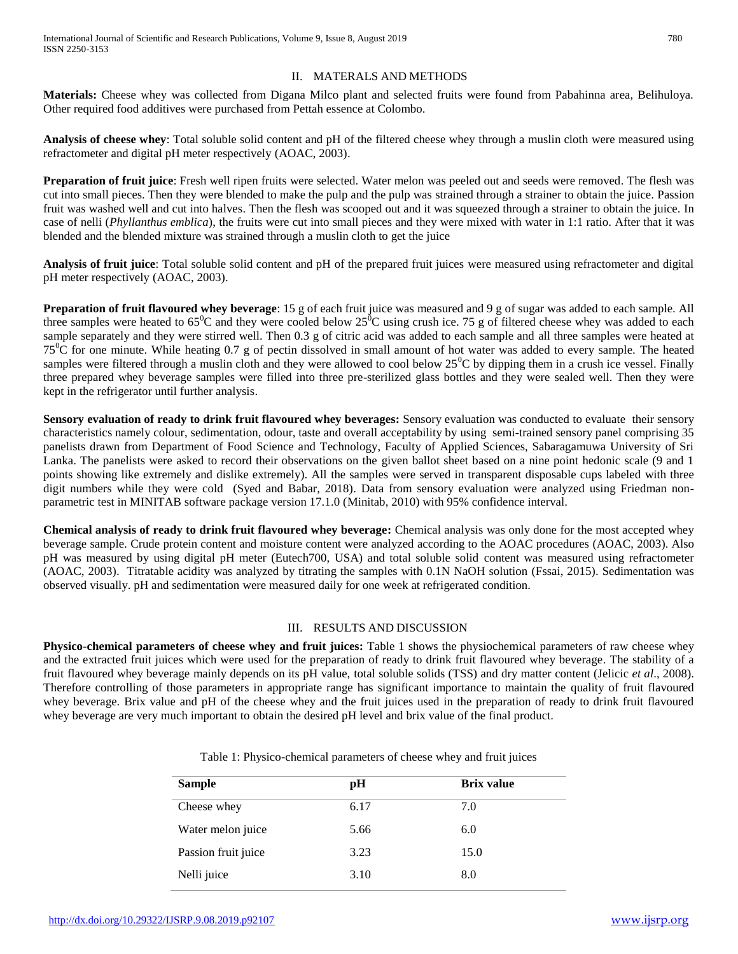## II. MATERALS AND METHODS

**Materials:** Cheese whey was collected from Digana Milco plant and selected fruits were found from Pabahinna area, Belihuloya. Other required food additives were purchased from Pettah essence at Colombo.

**Analysis of cheese whey**: Total soluble solid content and pH of the filtered cheese whey through a muslin cloth were measured using refractometer and digital pH meter respectively (AOAC, 2003).

**Preparation of fruit juice**: Fresh well ripen fruits were selected. Water melon was peeled out and seeds were removed. The flesh was cut into small pieces. Then they were blended to make the pulp and the pulp was strained through a strainer to obtain the juice. Passion fruit was washed well and cut into halves. Then the flesh was scooped out and it was squeezed through a strainer to obtain the juice. In case of nelli (*Phyllanthus emblica*), the fruits were cut into small pieces and they were mixed with water in 1:1 ratio. After that it was blended and the blended mixture was strained through a muslin cloth to get the juice

**Analysis of fruit juice**: Total soluble solid content and pH of the prepared fruit juices were measured using refractometer and digital pH meter respectively (AOAC, 2003).

**Preparation of fruit flavoured whey beverage**: 15 g of each fruit juice was measured and 9 g of sugar was added to each sample. All three samples were heated to  $65^{\circ}\text{C}$  and they were cooled below  $25^{\circ}\text{C}$  using crush ice. 75 g of filtered cheese whey was added to each sample separately and they were stirred well. Then 0.3 g of citric acid was added to each sample and all three samples were heated at  $75^{\circ}$ C for one minute. While heating 0.7 g of pectin dissolved in small amount of hot water was added to every sample. The heated samples were filtered through a muslin cloth and they were allowed to cool below  $25^{\circ}$ C by dipping them in a crush ice vessel. Finally three prepared whey beverage samples were filled into three pre-sterilized glass bottles and they were sealed well. Then they were kept in the refrigerator until further analysis.

**Sensory evaluation of ready to drink fruit flavoured whey beverages:** Sensory evaluation was conducted to evaluate their sensory characteristics namely colour, sedimentation, odour, taste and overall acceptability by using semi-trained sensory panel comprising 35 panelists drawn from Department of Food Science and Technology, Faculty of Applied Sciences, Sabaragamuwa University of Sri Lanka. The panelists were asked to record their observations on the given ballot sheet based on a nine point hedonic scale (9 and 1 points showing like extremely and dislike extremely). All the samples were served in transparent disposable cups labeled with three digit numbers while they were cold (Syed and Babar, 2018). Data from sensory evaluation were analyzed using Friedman nonparametric test in MINITAB software package version 17.1.0 (Minitab, 2010) with 95% confidence interval.

**Chemical analysis of ready to drink fruit flavoured whey beverage:** Chemical analysis was only done for the most accepted whey beverage sample. Crude protein content and moisture content were analyzed according to the AOAC procedures (AOAC, 2003). Also pH was measured by using digital pH meter (Eutech700, USA) and total soluble solid content was measured using refractometer (AOAC, 2003). Titratable acidity was analyzed by titrating the samples with 0.1N NaOH solution (Fssai, 2015). Sedimentation was observed visually. pH and sedimentation were measured daily for one week at refrigerated condition.

## III. RESULTS AND DISCUSSION

**Physico-chemical parameters of cheese whey and fruit juices:** Table 1 shows the physiochemical parameters of raw cheese whey and the extracted fruit juices which were used for the preparation of ready to drink fruit flavoured whey beverage. The stability of a fruit flavoured whey beverage mainly depends on its pH value, total soluble solids (TSS) and dry matter content (Jelicic *et al*., 2008). Therefore controlling of those parameters in appropriate range has significant importance to maintain the quality of fruit flavoured whey beverage. Brix value and pH of the cheese whey and the fruit juices used in the preparation of ready to drink fruit flavoured whey beverage are very much important to obtain the desired pH level and brix value of the final product.

| <b>Sample</b>       | pН   | <b>Brix value</b> |  |
|---------------------|------|-------------------|--|
| Cheese whey         | 6.17 | 7.0               |  |
| Water melon juice   | 5.66 | 6.0               |  |
| Passion fruit juice | 3.23 | 15.0              |  |
| Nelli juice         | 3.10 | 8.0               |  |

Table 1: Physico-chemical parameters of cheese whey and fruit juices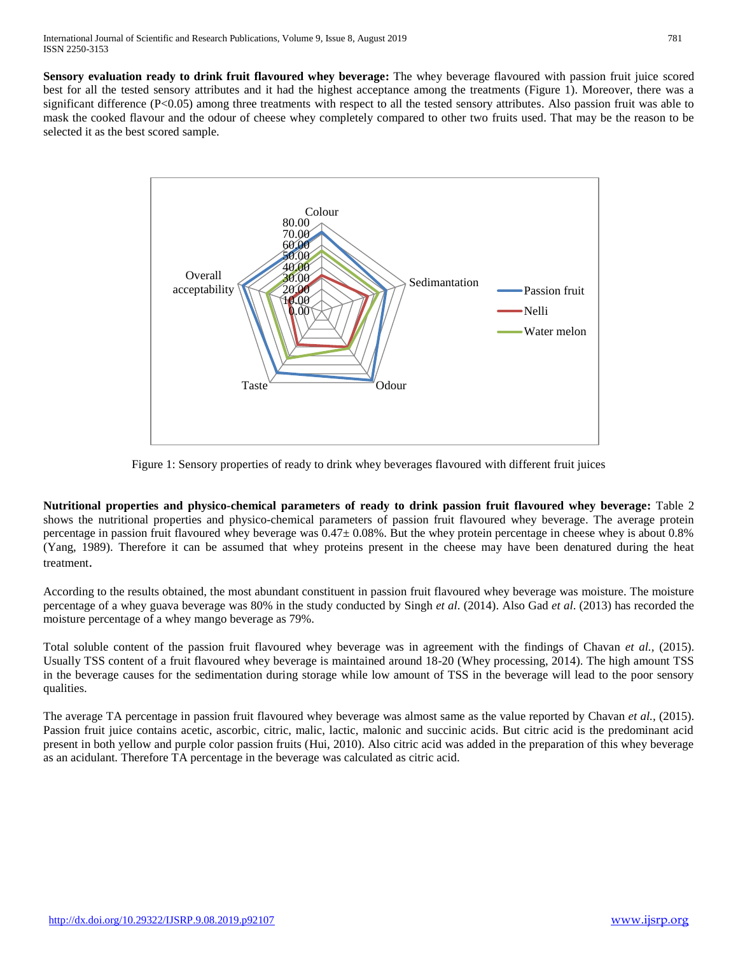**Sensory evaluation ready to drink fruit flavoured whey beverage:** The whey beverage flavoured with passion fruit juice scored best for all the tested sensory attributes and it had the highest acceptance among the treatments (Figure 1). Moreover, there was a significant difference (P<0.05) among three treatments with respect to all the tested sensory attributes. Also passion fruit was able to mask the cooked flavour and the odour of cheese whey completely compared to other two fruits used. That may be the reason to be selected it as the best scored sample.



Figure 1: Sensory properties of ready to drink whey beverages flavoured with different fruit juices

**Nutritional properties and physico-chemical parameters of ready to drink passion fruit flavoured whey beverage:** Table 2 shows the nutritional properties and physico-chemical parameters of passion fruit flavoured whey beverage. The average protein percentage in passion fruit flavoured whey beverage was  $0.47\pm0.08\%$ . But the whey protein percentage in cheese whey is about 0.8% (Yang, 1989). Therefore it can be assumed that whey proteins present in the cheese may have been denatured during the heat treatment.

According to the results obtained, the most abundant constituent in passion fruit flavoured whey beverage was moisture. The moisture percentage of a whey guava beverage was 80% in the study conducted by Singh *et al*. (2014). Also Gad *et al*. (2013) has recorded the moisture percentage of a whey mango beverage as 79%.

Total soluble content of the passion fruit flavoured whey beverage was in agreement with the findings of Chavan *et al.,* (2015). Usually TSS content of a fruit flavoured whey beverage is maintained around 18-20 (Whey processing, 2014). The high amount TSS in the beverage causes for the sedimentation during storage while low amount of TSS in the beverage will lead to the poor sensory qualities.

The average TA percentage in passion fruit flavoured whey beverage was almost same as the value reported by Chavan *et al.,* (2015). Passion fruit juice contains acetic, ascorbic, citric, malic, lactic, malonic and succinic acids. But citric acid is the predominant acid present in both yellow and purple color passion fruits (Hui, 2010). Also citric acid was added in the preparation of this whey beverage as an acidulant. Therefore TA percentage in the beverage was calculated as citric acid.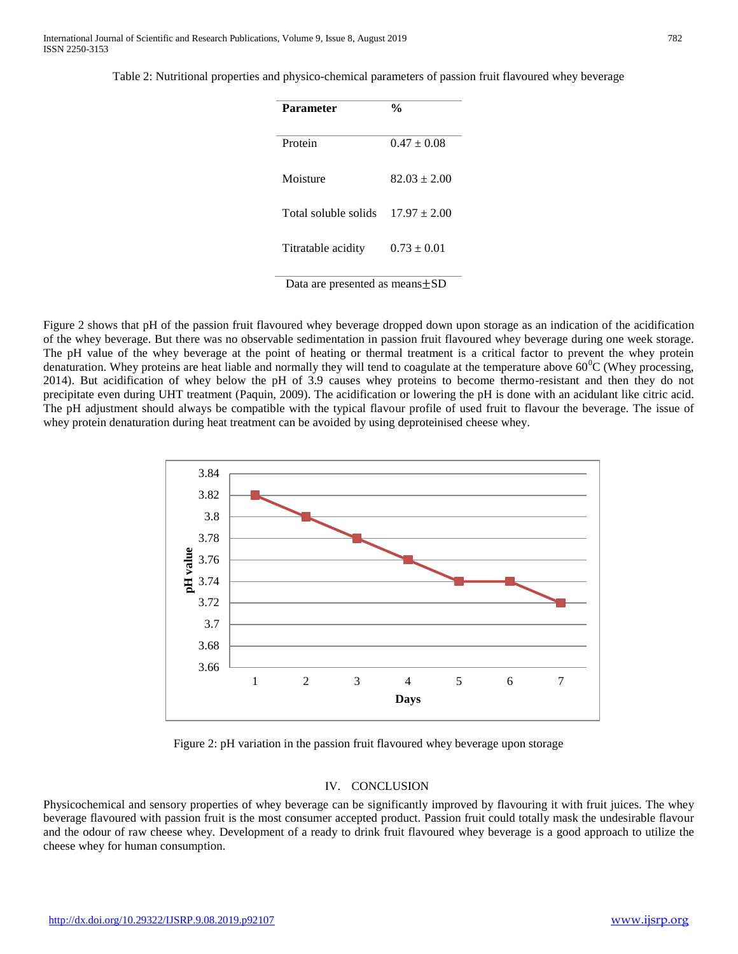Table 2: Nutritional properties and physico-chemical parameters of passion fruit flavoured whey beverage

| <b>Parameter</b>     | $\frac{6}{9}$    |
|----------------------|------------------|
| Protein              | $0.47 \pm 0.08$  |
| Moisture             | $82.03 \pm 2.00$ |
| Total soluble solids | $17.97 + 2.00$   |
| Titratable acidity   | $0.73 \pm 0.01$  |

Data are presented as means±SD

Figure 2 shows that pH of the passion fruit flavoured whey beverage dropped down upon storage as an indication of the acidification of the whey beverage. But there was no observable sedimentation in passion fruit flavoured whey beverage during one week storage. The pH value of the whey beverage at the point of heating or thermal treatment is a critical factor to prevent the whey protein denaturation. Whey proteins are heat liable and normally they will tend to coagulate at the temperature above  $60^{\circ}$ C (Whey processing, 2014). But acidification of whey below the pH of 3.9 causes whey proteins to become thermo-resistant and then they do not precipitate even during UHT treatment (Paquin, 2009). The acidification or lowering the pH is done with an acidulant like citric acid. The pH adjustment should always be compatible with the typical flavour profile of used fruit to flavour the beverage. The issue of whey protein denaturation during heat treatment can be avoided by using deproteinised cheese whey.



Figure 2: pH variation in the passion fruit flavoured whey beverage upon storage

## IV. CONCLUSION

Physicochemical and sensory properties of whey beverage can be significantly improved by flavouring it with fruit juices. The whey beverage flavoured with passion fruit is the most consumer accepted product. Passion fruit could totally mask the undesirable flavour and the odour of raw cheese whey. Development of a ready to drink fruit flavoured whey beverage is a good approach to utilize the cheese whey for human consumption.